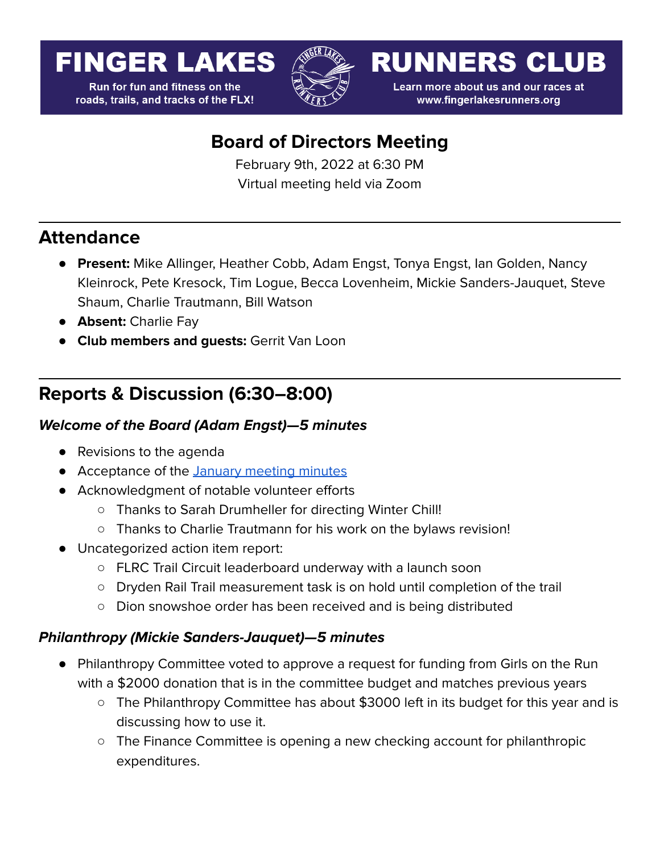# **FINGER LAKES**

**Run for fun and fitness on the** roads, trails, and tracks of the FLX!



**RUNNERS CLUB** 

Learn more about us and our races at www.fingerlakesrunners.org

## **Board of Directors Meeting**

February 9th, 2022 at 6:30 PM Virtual meeting held via Zoom

## **Attendance**

- **Present:** Mike Allinger, Heather Cobb, Adam Engst, Tonya Engst, Ian Golden, Nancy Kleinrock, Pete Kresock, Tim Logue, Becca Lovenheim, Mickie Sanders-Jauquet, Steve Shaum, Charlie Trautmann, Bill Watson
- **Absent:** Charlie Fay
- **Club members and guests:** Gerrit Van Loon

## **Reports & Discussion (6:30–8:00)**

## **Welcome of the Board (Adam Engst)—5 minutes**

- Revisions to the agenda
- Acceptance of the January [meeting](https://docs.google.com/document/u/0/d/1yqGo4O-E8Og0McCAfFXAcssU6b7h5u1sRBB38OwmmC0/edit) minutes
- Acknowledgment of notable volunteer efforts
	- Thanks to Sarah Drumheller for directing Winter Chill!
	- Thanks to Charlie Trautmann for his work on the bylaws revision!
- Uncategorized action item report:
	- FLRC Trail Circuit leaderboard underway with a launch soon
	- Dryden Rail Trail measurement task is on hold until completion of the trail
	- Dion snowshoe order has been received and is being distributed

## **Philanthropy (Mickie Sanders-Jauquet)—5 minutes**

- Philanthropy Committee voted to approve a request for funding from Girls on the Run with a \$2000 donation that is in the committee budget and matches previous years
	- The Philanthropy Committee has about \$3000 left in its budget for this year and is discussing how to use it.
	- The Finance Committee is opening a new checking account for philanthropic expenditures.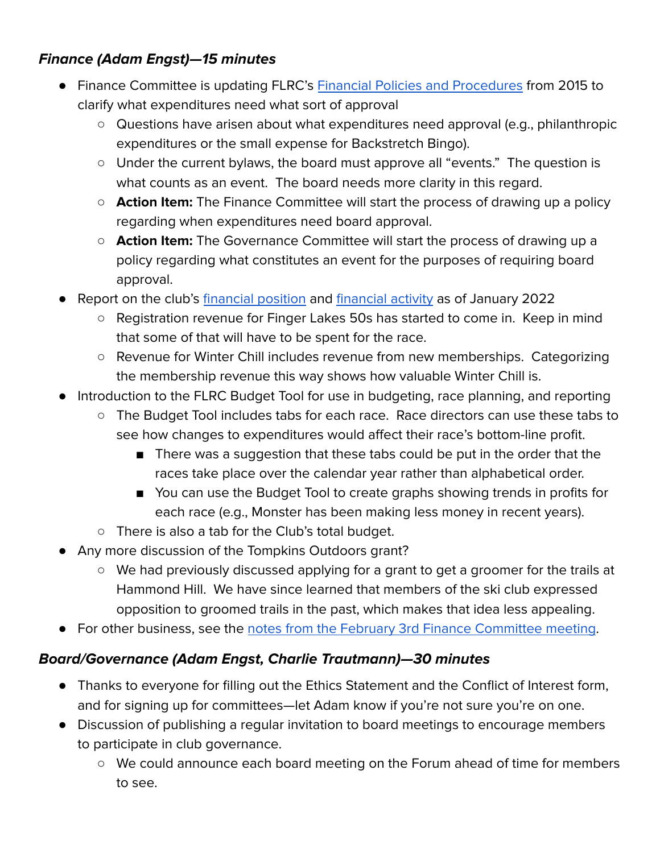## **Finance (Adam Engst)—15 minutes**

- Finance Committee is updating FLRC's Financial Policies and [Procedures](https://docs.google.com/document/d/1PI_cJmr4SmGUNm25MX59kO7IicmE4U3Wlqla6hmmTXw/edit?usp=sharing) from 2015 to clarify what expenditures need what sort of approval
	- Questions have arisen about what expenditures need approval (e.g., philanthropic expenditures or the small expense for Backstretch Bingo).
	- Under the current bylaws, the board must approve all "events." The question is what counts as an event. The board needs more clarity in this regard.
	- **Action Item:** The Finance Committee will start the process of drawing up a policy regarding when expenditures need board approval.
	- **Action Item:** The Governance Committee will start the process of drawing up a policy regarding what constitutes an event for the purposes of requiring board approval.
- Report on the club's [financial](https://docs.google.com/spreadsheets/d/1jGluPkPVXsUyJ9Hawy0VqX439d8vNc--vCnTBQ7MMK0/edit#gid=1313251547&range=A1:I1) position and financial activity as of January 2022
	- Registration revenue for Finger Lakes 50s has started to come in. Keep in mind that some of that will have to be spent for the race.
	- Revenue for Winter Chill includes revenue from new memberships. Categorizing the membership revenue this way shows how valuable Winter Chill is.
- Introduction to the FLRC Budget Tool for use in budgeting, race planning, and reporting
	- The Budget Tool includes tabs for each race. Race directors can use these tabs to see how changes to expenditures would affect their race's bottom-line profit.
		- There was a suggestion that these tabs could be put in the order that the races take place over the calendar year rather than alphabetical order.
		- You can use the Budget Tool to create graphs showing trends in profits for each race (e.g., Monster has been making less money in recent years).
	- There is also a tab for the Club's total budget.
- Any more discussion of the Tompkins Outdoors grant?
	- We had previously discussed applying for a grant to get a groomer for the trails at Hammond Hill. We have since learned that members of the ski club expressed opposition to groomed trails in the past, which makes that idea less appealing.
- For other business, see the notes from the February 3rd Finance [Committee](https://forum.fingerlakesrunners.org/t/finance-committee-agenda-for-meeting-feb-3-2022/2953/2?u=adamengst) meeting.

## **Board/Governance (Adam Engst, Charlie Trautmann)—30 minutes**

- Thanks to everyone for filling out the Ethics Statement and the Conflict of Interest form, and for signing up for committees—let Adam know if you're not sure you're on one.
- Discussion of publishing a regular invitation to board meetings to encourage members to participate in club governance.
	- We could announce each board meeting on the Forum ahead of time for members to see.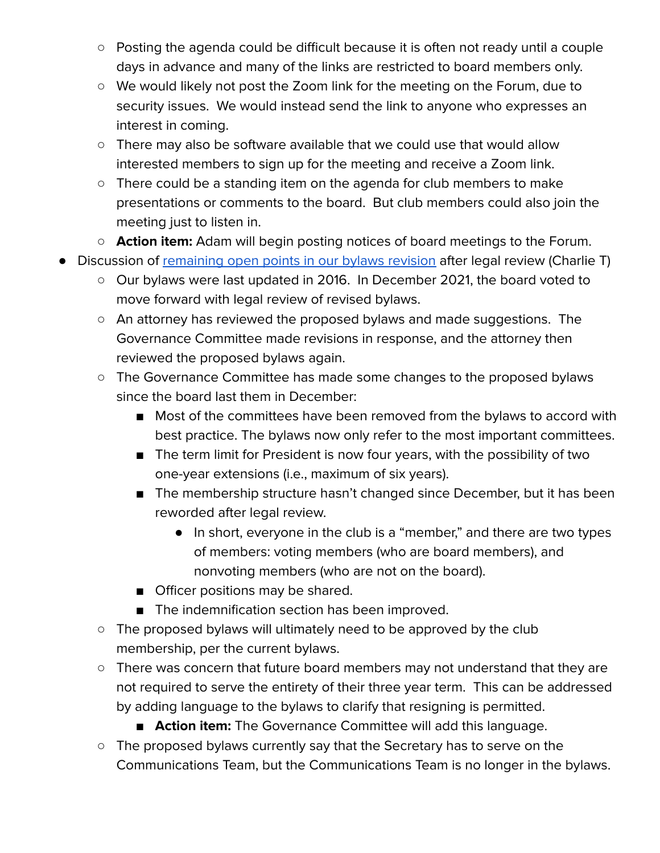- Posting the agenda could be difficult because it is often not ready until a couple days in advance and many of the links are restricted to board members only.
- We would likely not post the Zoom link for the meeting on the Forum, due to security issues. We would instead send the link to anyone who expresses an interest in coming.
- There may also be software available that we could use that would allow interested members to sign up for the meeting and receive a Zoom link.
- There could be a standing item on the agenda for club members to make presentations or comments to the board. But club members could also join the meeting just to listen in.
- **Action item:** Adam will begin posting notices of board meetings to the Forum.
- Discussion of [remaining](https://forum.fingerlakesrunners.org/t/bylaws-for-board-review/2921?u=adamengst) open points in our bylaws revision after legal review (Charlie T)
	- Our bylaws were last updated in 2016. In December 2021, the board voted to move forward with legal review of revised bylaws.
	- An attorney has reviewed the proposed bylaws and made suggestions. The Governance Committee made revisions in response, and the attorney then reviewed the proposed bylaws again.
	- The Governance Committee has made some changes to the proposed bylaws since the board last them in December:
		- Most of the committees have been removed from the bylaws to accord with best practice. The bylaws now only refer to the most important committees.
		- The term limit for President is now four years, with the possibility of two one-year extensions (i.e., maximum of six years).
		- The membership structure hasn't changed since December, but it has been reworded after legal review.
			- In short, everyone in the club is a "member," and there are two types of members: voting members (who are board members), and nonvoting members (who are not on the board).
		- Officer positions may be shared.
		- The indemnification section has been improved.
	- The proposed bylaws will ultimately need to be approved by the club membership, per the current bylaws.
	- There was concern that future board members may not understand that they are not required to serve the entirety of their three year term. This can be addressed by adding language to the bylaws to clarify that resigning is permitted.
		- **Action item:** The Governance Committee will add this language.
	- The proposed bylaws currently say that the Secretary has to serve on the Communications Team, but the Communications Team is no longer in the bylaws.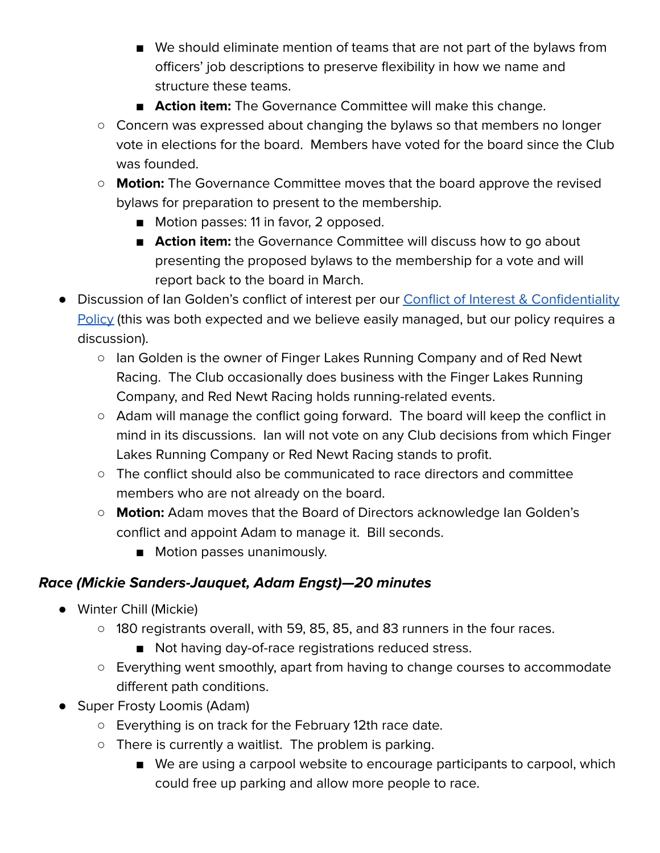- We should eliminate mention of teams that are not part of the bylaws from officers' job descriptions to preserve flexibility in how we name and structure these teams.
- **Action item:** The Governance Committee will make this change.
- Concern was expressed about changing the bylaws so that members no longer vote in elections for the board. Members have voted for the board since the Club was founded.
- **Motion:** The Governance Committee moves that the board approve the revised bylaws for preparation to present to the membership.
	- Motion passes: 11 in favor, 2 opposed.
	- **Action item:** the Governance Committee will discuss how to go about presenting the proposed bylaws to the membership for a vote and will report back to the board in March.
- Discussion of Ian Golden's conflict of interest per our Conflict of Interest & [Confidentiality](https://drive.google.com/file/d/1MlMG8c23ZRid1WFjoQivtrZs9JJ3LlzA/view?usp=sharing) [Policy](https://drive.google.com/file/d/1MlMG8c23ZRid1WFjoQivtrZs9JJ3LlzA/view?usp=sharing) (this was both expected and we believe easily managed, but our policy requires a discussion).
	- Ian Golden is the owner of Finger Lakes Running Company and of Red Newt Racing. The Club occasionally does business with the Finger Lakes Running Company, and Red Newt Racing holds running-related events.
	- Adam will manage the conflict going forward. The board will keep the conflict in mind in its discussions. Ian will not vote on any Club decisions from which Finger Lakes Running Company or Red Newt Racing stands to profit.
	- The conflict should also be communicated to race directors and committee members who are not already on the board.
	- **Motion:** Adam moves that the Board of Directors acknowledge Ian Golden's conflict and appoint Adam to manage it. Bill seconds.
		- Motion passes unanimously.

## **Race (Mickie Sanders-Jauquet, Adam Engst)—20 minutes**

- Winter Chill (Mickie)
	- 180 registrants overall, with 59, 85, 85, and 83 runners in the four races.
		- Not having day-of-race registrations reduced stress.
	- Everything went smoothly, apart from having to change courses to accommodate different path conditions.
- Super Frosty Loomis (Adam)
	- Everything is on track for the February 12th race date.
	- There is currently a waitlist. The problem is parking.
		- We are using a carpool website to encourage participants to carpool, which could free up parking and allow more people to race.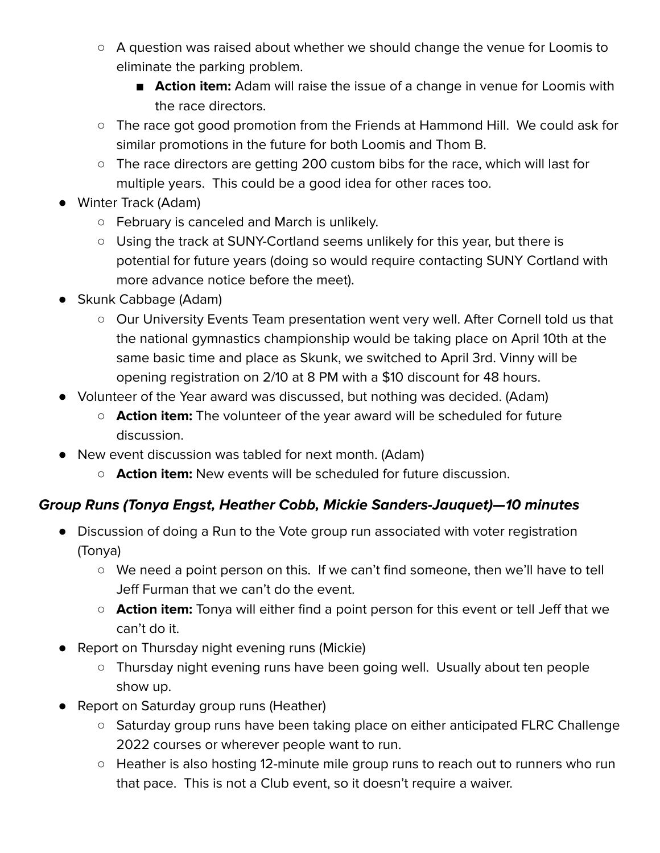- A question was raised about whether we should change the venue for Loomis to eliminate the parking problem.
	- **Action item:** Adam will raise the issue of a change in venue for Loomis with the race directors.
- The race got good promotion from the Friends at Hammond Hill. We could ask for similar promotions in the future for both Loomis and Thom B.
- The race directors are getting 200 custom bibs for the race, which will last for multiple years. This could be a good idea for other races too.
- Winter Track (Adam)
	- February is canceled and March is unlikely.
	- Using the track at SUNY-Cortland seems unlikely for this year, but there is potential for future years (doing so would require contacting SUNY Cortland with more advance notice before the meet).
- Skunk Cabbage (Adam)
	- Our University Events Team presentation went very well. After Cornell told us that the national gymnastics championship would be taking place on April 10th at the same basic time and place as Skunk, we switched to April 3rd. Vinny will be opening registration on 2/10 at 8 PM with a \$10 discount for 48 hours.
- Volunteer of the Year award was discussed, but nothing was decided. (Adam)
	- **Action item:** The volunteer of the year award will be scheduled for future discussion.
- New event discussion was tabled for next month. (Adam)
	- **○ Action item:** New events will be scheduled for future discussion.

## **Group Runs (Tonya Engst, Heather Cobb, Mickie Sanders-Jauquet)—10 minutes**

- Discussion of doing a Run to the Vote group run associated with voter registration (Tonya)
	- We need a point person on this. If we can't find someone, then we'll have to tell Jeff Furman that we can't do the event.
	- **○ Action item:** Tonya will either find a point person for this event or tell Jeff that we can't do it.
- Report on Thursday night evening runs (Mickie)
	- Thursday night evening runs have been going well. Usually about ten people show up.
- Report on Saturday group runs (Heather)
	- Saturday group runs have been taking place on either anticipated FLRC Challenge 2022 courses or wherever people want to run.
	- Heather is also hosting 12-minute mile group runs to reach out to runners who run that pace. This is not a Club event, so it doesn't require a waiver.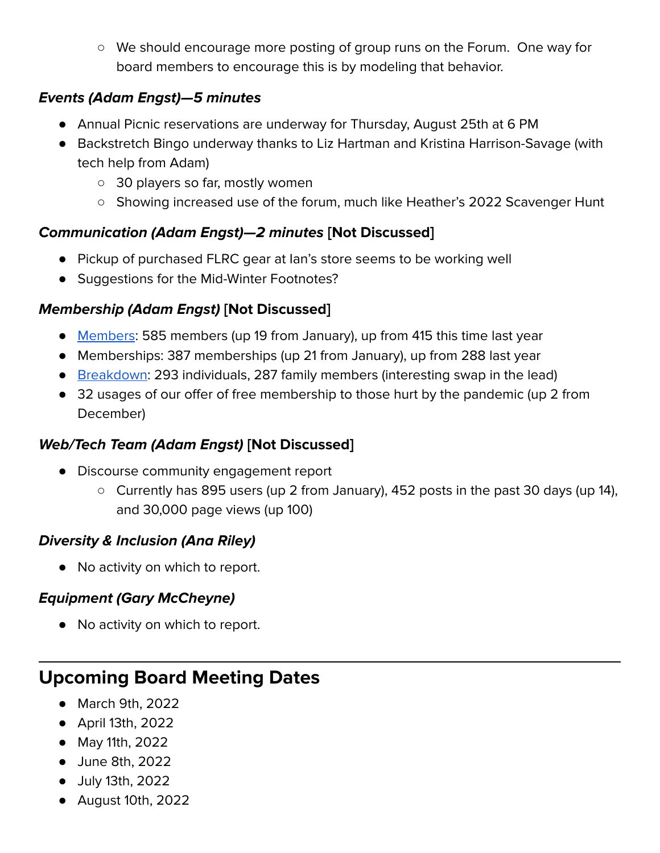○ We should encourage more posting of group runs on the Forum. One way for board members to encourage this is by modeling that behavior.

#### **Events (Adam Engst)—5 minutes**

- Annual Picnic reservations are underway for Thursday, August 25th at 6 PM
- Backstretch Bingo underway thanks to Liz Hartman and Kristina Harrison-Savage (with tech help from Adam)
	- 30 players so far, mostly women
	- Showing increased use of the forum, much like Heather's 2022 Scavenger Hunt

## **Communication (Adam Engst)—2 minutes [Not Discussed]**

- Pickup of purchased FLRC gear at lan's store seems to be working well
- Suggestions for the Mid-Winter Footnotes?

## **Membership (Adam Engst) [Not Discussed]**

- [Members](https://runsignup.com/Club/Dashboard/1044): 585 members (up 19 from January), up from 415 this time last year
- Memberships: 387 memberships (up 21 from January), up from 288 last year
- [Breakdown:](https://runsignup.com/Club/Members/Reports/1044) 293 individuals, 287 family members (interesting swap in the lead)
- 32 usages of our offer of free membership to those hurt by the pandemic (up 2 from December)

## **Web/Tech Team (Adam Engst) [Not Discussed]**

- Discourse community engagement report
	- Currently has 895 users (up 2 from January), 452 posts in the past 30 days (up 14), and 30,000 page views (up 100)

## **Diversity & Inclusion (Ana Riley)**

● No activity on which to report.

## **Equipment (Gary McCheyne)**

● No activity on which to report.

## **Upcoming Board Meeting Dates**

- March 9th, 2022
- April 13th, 2022
- May 11th, 2022
- June 8th, 2022
- July 13th, 2022
- August 10th, 2022